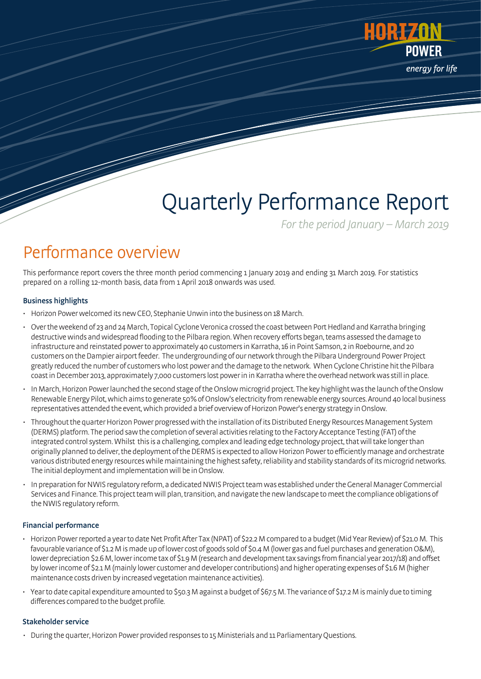

# Quarterly Performance Report

For the period January – March 2019

### Performance overview

This performance report covers the three month period commencing 1 January 2019 and ending 31 March 2019. For statistics prepared on a rolling 12-month basis, data from 1 April 2018 onwards was used.

### Business highlights

- Horizon Power welcomed its new CEO, Stephanie Unwin into the business on 18 March.
- Over the weekend of 23 and 24 March, Topical Cyclone Veronica crossed the coast between Port Hedland and Karratha bringing destructive winds and widespread flooding to the Pilbara region. When recovery efforts began, teams assessed the damage to infrastructure and reinstated power to approximately 40 customers in Karratha, 16 in Point Samson, 2 in Roebourne, and 20 customers on the Dampier airport feeder. The undergrounding of our network through the Pilbara Underground Power Project greatly reduced the number of customers who lost power and the damage to the network. When Cyclone Christine hit the Pilbara coastin December 2013, approximately 7,000 customers lost power in in Karratha where the overhead network was still in place.
- InMarch, Horizon Power launched the second stage of the Onslow microgrid project. The key highlight was the launch of the Onslow Renewable Energy Pilot,which aims to generate 50% of Onslow's electricity from renewable energy sources. Around 40 local business representatives attended the event, which provided a brief overview of Horizon Power's energy strategy in Onslow.
- Throughoutthe quarter Horizon Power progressed with the installation of its Distributed Energy Resources Management System (DERMS) platform. The period saw the completion of several activities relating to the Factory Acceptance Testing (FAT) of the integrated control system. Whilst this is a challenging, complex and leading edge technology project, that will take longer than originally planned to deliver, the deployment of the DERMS is expected to allow Horizon Power to efficiently manage and orchestrate various distributed energy resources while maintaining the highest safety, reliability and stability standards of its microgrid networks. The initial deployment and implementation will be in Onslow.
- In preparation for NWIS regulatory reform, a dedicated NWIS Project team was established under the General Manager Commercial Services and Finance. This project team will plan, transition, and navigate the new landscape to meet the compliance obligations of the NWIS regulatory reform.

### Financial performance

- Horizon Power reported a year to date Net Profit After Tax (NPAT) of \$22.2 M compared to a budget (Mid Year Review) of \$21.0 M. This favourable variance of \$1.2 M is made up of lower cost of goods sold of \$0.4 M (lower gas and fuel purchases and generation O&M), lower depreciation \$2.6 M, lower income tax of \$1.9 M (research and development tax savings from financial year 2017/18) and offset by lower income of \$2.1M(mainly lower customer and developer contributions) and higher operating expenses of \$1.6 M (higher maintenance costs driven by increased vegetation maintenance activities).
- Year todate capital expenditure amounted to \$50.3 M against a budget of \$67.5 M. The variance of \$17.2 M is mainly due to timing differences compared to the budget profile.

### Stakeholder service

• During the quarter, Horizon Power provided responses to 15 Ministerials and 11 Parliamentary Questions.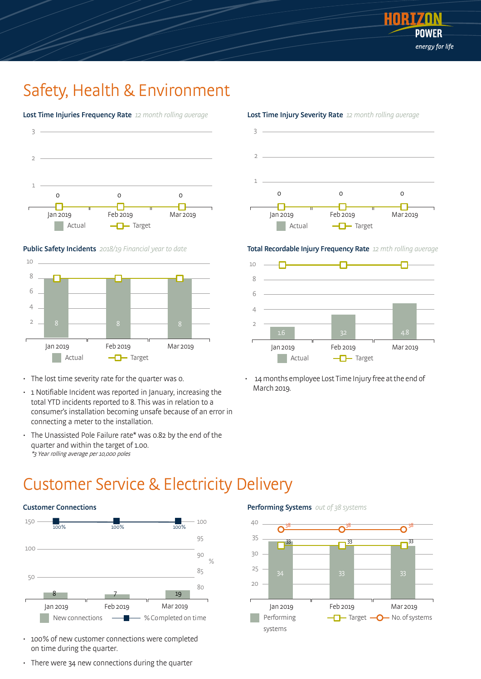

### Safety, Health & Environment









- The lost time severity rate for the quarter was 0.
- 1 Notifiable Incident was reported in January, increasing the total YTD incidents reported to 8. This was in relation to a consumer's installation becoming unsafe because of an error in connecting a meter to the installation.
- The Unassisted Pole Failure rate\* was 0.82 by the end of the quarter and within the target of 1.00. \*3 Year rolling average per 10,000 poles



#### Lost Time Injury Severity Rate 12 month rolling average

Total Recordable Injury Frequency Rate 12 mth rolling average



14 months employee Lost Time Injury free at the end of March 2019.

### Customer Service & Electricity Delivery





- 100% of new customer connections were completed on time during the quarter.
- There were 34 new connections during the quarter

Performing Systems out of 38 systems

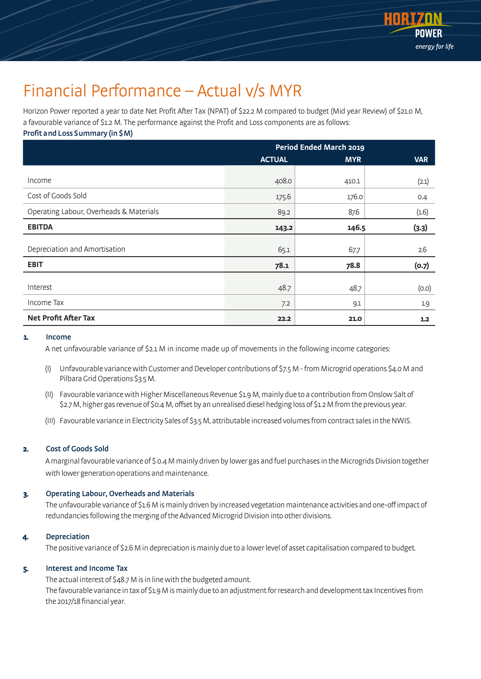

### Financial Performance – Actual v/s MYR

Horizon Power reported a year to date Net Profit After Tax (NPAT) of \$22.2 M compared to budget (Mid year Review) of \$21.0 M, a favourable variance of \$1.2 M. The performance against the Profit and Loss components are as follows: Profit andLoss Summary (in \$M)

|                                         | <b>Period Ended March 2019</b> |            |            |  |
|-----------------------------------------|--------------------------------|------------|------------|--|
|                                         | <b>ACTUAL</b>                  | <b>MYR</b> | <b>VAR</b> |  |
| Income                                  | 408.0                          | 410.1      | (2.1)      |  |
| Cost of Goods Sold                      | 175.6                          | 176.0      | 0.4        |  |
| Operating Labour, Overheads & Materials | 89.2                           | 87.6       | (1.6)      |  |
| <b>EBITDA</b>                           | 143.2                          | 146.5      | (3.3)      |  |
| Depreciation and Amortisation           | 65.1                           | 67.7       | 2.6        |  |
| <b>EBIT</b>                             | 78.1                           | 78.8       | (0.7)      |  |
| Interest                                | 48.7                           | 48.7       | (0.0)      |  |
| Income Tax                              | 7.2                            | 9.1        | 19         |  |
| <b>Net Profit After Tax</b>             | 22.2                           | 21.0       | 1.2        |  |

#### 1. Income

A net unfavourable variance of \$2.1 M in income made up of movements in the following income categories:

- (I) Unfavourable variance with Customer and Developer contributions of \$7.5 M from Microgrid operations \$4.0 M and Pilbara Grid Operations \$3.5 M.
- (II) Favourable variancewith Higher Miscellaneous Revenue \$1.9 M, mainly due to a contribution from Onslow Salt of \$2.7 M, higher gas revenue of \$0.4 M, offset by an unrealised diesel hedging loss of \$1.2 M from the previous year.
- (III) Favourable variance in Electricity Sales of \$3.5 M, attributable increased volumes from contract sales in the NWIS.

### 2. Cost of Goods Sold

A marginal favourable variance of \$ 0.4 M mainly driven by lower gas and fuel purchases in the Microgrids Division together with lower generation operations and maintenance.

### 3. Operating Labour, Overheads and Materials

The unfavourable variance of \$1.6 M is mainly driven by increased vegetation maintenance activities and one-off impact of redundancies following the merging of the Advanced Microgrid Division into other divisions.

#### **Depreciation**

The positive variance of\$2.6 M in depreciation is mainly due to a lower level of asset capitalisation compared to budget.

### 5. Interest and Income Tax

The actual interest of \$48.7 M is in line with the budgeted amount. The favourable variance in tax of \$1.9 M is mainly due to an adjustment for research and development tax Incentives from the 2017/18 financial year.